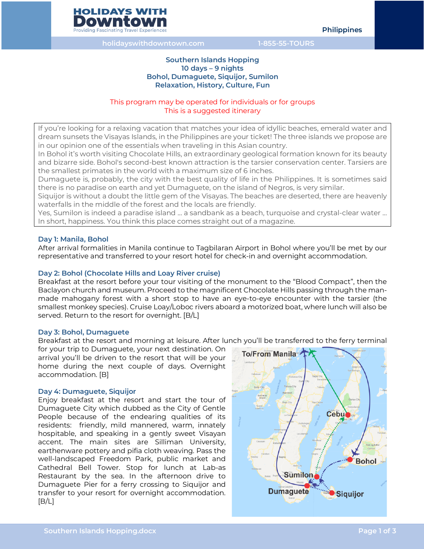

# **Southern Islands Hopping 10 days – 9 nights Bohol, Dumaguete, Siquijor, Sumilon Relaxation, History, Culture, Fun**

# This program may be operated for individuals or for groups This is a suggested itinerary

If you're looking for a relaxing vacation that matches your idea of idyllic beaches, emerald water and dream sunsets the Visayas Islands, in the Philippines are your ticket! The three islands we propose are in our opinion one of the essentials when traveling in this Asian country.

In Bohol it's worth visiting Chocolate Hills, an extraordinary geological formation known for its beauty and bizarre side. Bohol's second-best known attraction is the tarsier conservation center. Tarsiers are the smallest primates in the world with a maximum size of 6 inches.

Dumaguete is, probably, the city with the best quality of life in the Philippines. It is sometimes said there is no paradise on earth and yet Dumaguete, on the island of Negros, is very similar.

Siquijor is without a doubt the little gem of the Visayas. The beaches are deserted, there are heavenly waterfalls in the middle of the forest and the locals are friendly.

Yes, Sumilon is indeed a paradise island ... a sandbank as a beach, turquoise and crystal-clear water ... In short, happiness. You think this place comes straight out of a magazine.

### **Day 1: Manila, Bohol**

After arrival formalities in Manila continue to Tagbilaran Airport in Bohol where you'll be met by our representative and transferred to your resort hotel for check-in and overnight accommodation.

#### **Day 2: Bohol (Chocolate Hills and Loay River cruise)**

Breakfast at the resort before your tour visiting of the monument to the "Blood Compact", then the Baclayon church and museum. Proceed to the magnificent Chocolate Hills passing through the manmade mahogany forest with a short stop to have an eye-to-eye encounter with the tarsier (the smallest monkey species). Cruise Loay/Loboc rivers aboard a motorized boat, where lunch will also be served. Return to the resort for overnight. [B/L]

#### **Day 3: Bohol, Dumaguete**

Breakfast at the resort and morning at leisure. After lunch you'll be transferred to the ferry terminal

for your trip to Dumaguete, your next destination. On arrival you'll be driven to the resort that will be your home during the next couple of days. Overnight accommodation. [B]

#### **Day 4: Dumaguete, Siquijor**

Enjoy breakfast at the resort and start the tour of Dumaguete City which dubbed as the City of Gentle People because of the endearing qualities of its residents: friendly, mild mannered, warm, innately hospitable, and speaking in a gently sweet Visayan accent. The main sites are Silliman University, earthenware pottery and pifia cloth weaving. Pass the well-landscaped Freedom Park, public market and Cathedral Bell Tower. Stop for lunch at Lab-as Restaurant by the sea. In the afternoon drive to Dumaguete Pier for a ferry crossing to Siquijor and transfer to your resort for overnight accommodation.  $[B/L]$ 

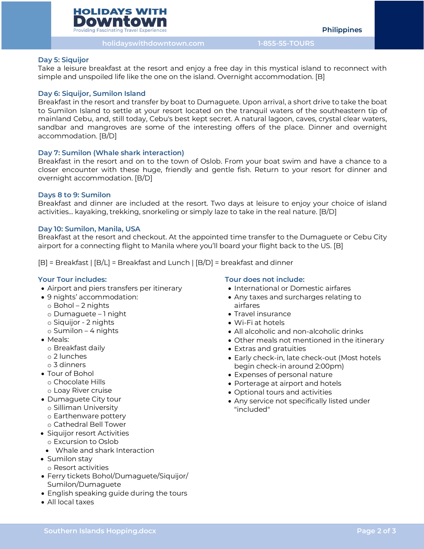

**Philippines**

**holidayswithdowntown.com 1-855-55-TOURS**

#### **Day 5: Siquijor**

Take a leisure breakfast at the resort and enjoy a free day in this mystical island to reconnect with simple and unspoiled life like the one on the island. Overnight accommodation. [B]

### **Day 6: Siquijor, Sumilon Island**

Breakfast in the resort and transfer by boat to Dumaguete. Upon arrival, a short drive to take the boat to Sumilon Island to settle at your resort located on the tranquil waters of the southeastern tip of mainland Cebu, and, still today, Cebu's best kept secret. A natural lagoon, caves, crystal clear waters, sandbar and mangroves are some of the interesting offers of the place. Dinner and overnight accommodation. [B/D]

### **Day 7: Sumilon (Whale shark interaction)**

Breakfast in the resort and on to the town of Oslob. From your boat swim and have a chance to a closer encounter with these huge, friendly and gentle fish. Return to your resort for dinner and overnight accommodation. [B/D]

### **Days 8 to 9: Sumilon**

Breakfast and dinner are included at the resort. Two days at leisure to enjoy your choice of island activities... kayaking, trekking, snorkeling or simply laze to take in the real nature. [B/D]

### **Day 10: Sumilon, Manila, USA**

Breakfast at the resort and checkout. At the appointed time transfer to the Dumaguete or Cebu City airport for a connecting flight to Manila where you'll board your flight back to the US. [B]

[B] = Breakfast | [B/L] = Breakfast and Lunch | [B/D] = breakfast and dinner

### **Your Tour includes:**

- Airport and piers transfers per itinerary
- 9 nights' accommodation:
- o Bohol 2 nights
- o Dumaguete 1 night
- o Siquijor 2 nights
- o Sumilon 4 nights
- Meals:
	- o Breakfast daily
	- o 2 lunches
	- o 3 dinners
- Tour of Bohol
	- o Chocolate Hills
	- o Loay River cruise
- Dumaguete City tour
	- o Silliman University
	- o Earthenware pottery
	- o Cathedral Bell Tower
- Siquijor resort Activities
- o Excursion to Oslob
- Whale and shark Interaction
- Sumilon stay
- o Resort activities
- Ferry tickets Bohol/Dumaguete/Siquijor/ Sumilon/Dumaguete
- English speaking guide during the tours
- All local taxes

### **Tour does not include:**

- International or Domestic airfares
- Any taxes and surcharges relating to airfares
- Travel insurance
- Wi-Fi at hotels
- All alcoholic and non-alcoholic drinks
- Other meals not mentioned in the itinerary
- Extras and gratuities
- Early check-in, late check-out (Most hotels begin check-in around 2:00pm)
- Expenses of personal nature
- Porterage at airport and hotels
- Optional tours and activities
- Any service not specifically listed under "included"